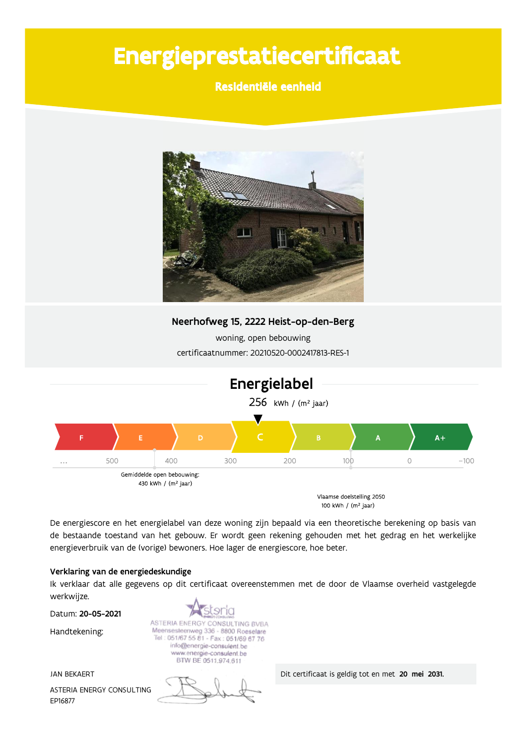# Energieprestatiecertificaat

### Residentiële eenheid



Neerhofweg 15, 2222 Heist-op-den-Berg

woning, open bebouwing certificaatnummer: 20210520-0002417813-RES-1



100 kWh / (m<sup>2</sup> jaar)

De energiescore en het energielabel van deze woning zijn bepaald via een theoretische berekening op basis van de bestaande toestand van het gebouw. Er wordt geen rekening gehouden met het gedrag en het werkelijke energieverbruik van de (vorige) bewoners. Hoe lager de energiescore, hoe beter.

#### Verklaring van de energiedeskundige

Ik verklaar dat alle gegevens op dit certificaat overeenstemmen met de door de Vlaamse overheid vastgelegde werkwijze.

Datum: 20-05-2021

Handtekening:

**JAN BEKAERT** ASTERIA ENERGY CONSULTING EP16877

tsria ASTERIA ENERGY CONSULTING BVBA Meensesteenweg 336 - 8800 Roeselare Tel: 051/67 55 81 - Fax: 051/69 67 76 info@energie-consulent.be www.energie-consulent.be<br>BTW BE 0511.974.611

Dit certificaat is geldig tot en met 20 mei 2031.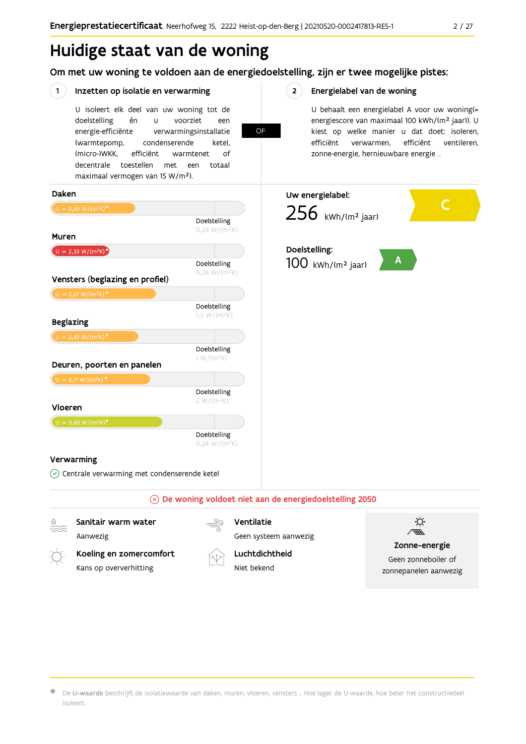## Huidige staat van de woning

### Om met uw woning te voldoen aan de energiedoelstelling, zijn er twee mogelijke pistes:

**OF** 

#### $(1)$ Inzetten op isolatie en verwarming

U isoleert elk deel van uw woning tot de doelstelling én voorziet  $\mathbf{u}$ een energie-efficiënte verwarmingsinstallatie (warmtepomp, condenserende ketel. (micro-)WKK. efficiënt warmtenet  $\bigcap_{ }$ decentrale toestellen met een totaal maximaal vermogen van 15 W/m<sup>2</sup>).

#### $2^{\circ}$ Energielabel van de woning

U behaalt een energielabel A voor uw woning(= energiescore van maximaal 100 kWh/(m<sup>2</sup> jaar)). U kiest op welke manier u dat doet: isoleren, efficiënt efficiënt ventileren, verwarmen, zonne-energie, hernieuwbare energie ...



Aanwezig Koeling en zomercomfort

Kans op oververhitting

Geen systeem aanwezig Luchtdichtheid

Niet bekend



#### Zonne-energie

Geen zonneboiler of zonnepanelen aanwezig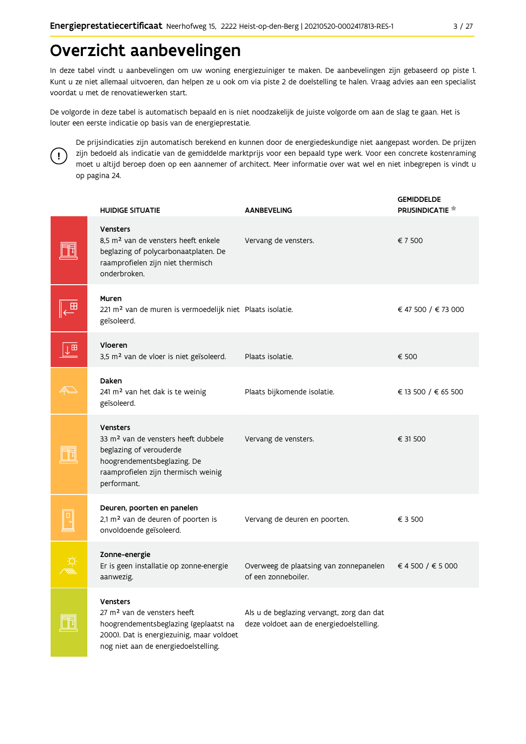## Overzicht aanbevelingen

In deze tabel vindt u aanbevelingen om uw woning energiezuiniger te maken. De aanbevelingen zijn gebaseerd op piste 1. Kunt u ze niet allemaal uitvoeren, dan helpen ze u ook om via piste 2 de doelstelling te halen. Vraag advies aan een specialist voordat u met de renovatiewerken start.

De volgorde in deze tabel is automatisch bepaald en is niet noodzakelijk de juiste volgorde om aan de slag te gaan. Het is louter een eerste indicatie op basis van de energieprestatie.



De prijsindicaties zijn automatisch berekend en kunnen door de energiedeskundige niet aangepast worden. De prijzen zijn bedoeld als indicatie van de gemiddelde marktprijs voor een bepaald type werk. Voor een concrete kostenraming moet u altijd beroep doen op een aannemer of architect. Meer informatie over wat wel en niet inbegrepen is vindt u op pagina 24.

|    | <b>HUIDIGE SITUATIE</b>                                                                                                                                                                  | <b>AANBEVELING</b>                                                                    | <b>GEMIDDELDE</b><br><b>PRIJSINDICATIE</b> |
|----|------------------------------------------------------------------------------------------------------------------------------------------------------------------------------------------|---------------------------------------------------------------------------------------|--------------------------------------------|
|    | <b>Vensters</b><br>8.5 m <sup>2</sup> van de vensters heeft enkele<br>beglazing of polycarbonaatplaten. De<br>raamprofielen zijn niet thermisch<br>onderbroken.                          | Vervang de vensters.                                                                  | € 7 500                                    |
|    | Muren<br>221 m <sup>2</sup> van de muren is vermoedelijk niet Plaats isolatie.<br>geïsoleerd.                                                                                            |                                                                                       | € 47 500 / € 73 000                        |
| Į⊞ | Vloeren<br>3,5 m <sup>2</sup> van de vloer is niet geïsoleerd.                                                                                                                           | Plaats isolatie.                                                                      | € 500                                      |
|    | Daken<br>241 m <sup>2</sup> van het dak is te weinig<br>geïsoleerd.                                                                                                                      | Plaats bijkomende isolatie.                                                           | € 13 500 / € 65 500                        |
|    | <b>Vensters</b><br>33 m <sup>2</sup> van de vensters heeft dubbele<br>beglazing of verouderde<br>hoogrendementsbeglazing. De<br>raamprofielen zijn thermisch weinig<br>performant.       | Vervang de vensters.                                                                  | € 31 500                                   |
|    | Deuren, poorten en panelen<br>2,1 m <sup>2</sup> van de deuren of poorten is<br>onvoldoende geïsoleerd.                                                                                  | Vervang de deuren en poorten.                                                         | € 3 500                                    |
|    | Zonne-energie<br>Er is geen installatie op zonne-energie<br>aanwezig.                                                                                                                    | Overweeg de plaatsing van zonnepanelen<br>of een zonneboiler.                         | € 4 500 / € 5 000                          |
|    | <b>Vensters</b><br>27 m <sup>2</sup> van de vensters heeft<br>hoogrendementsbeglazing (geplaatst na<br>2000). Dat is energiezuinig, maar voldoet<br>nog niet aan de energiedoelstelling. | Als u de beglazing vervangt, zorg dan dat<br>deze voldoet aan de energiedoelstelling. |                                            |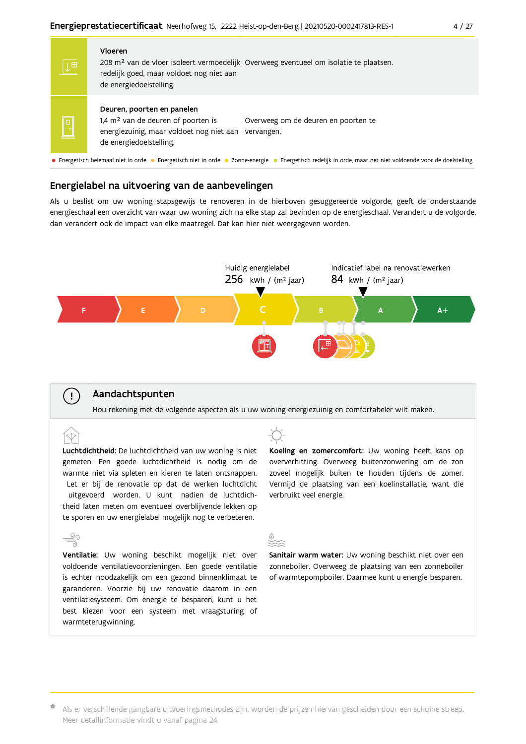| $\downarrow$ $\overline{H}$ | Vloeren<br>208 m <sup>2</sup> van de vloer isoleert vermoedelijk Overweeg eventueel om isolatie te plaatsen.<br>redelijk goed, maar voldoet nog niet aan<br>de energiedoelstelling.                   |
|-----------------------------|-------------------------------------------------------------------------------------------------------------------------------------------------------------------------------------------------------|
|                             | Deuren, poorten en panelen<br>1,4 m <sup>2</sup> van de deuren of poorten is<br>Overweeg om de deuren en poorten te<br>energiezuinig, maar voldoet nog niet aan vervangen.<br>de energiedoelstelling. |
|                             | • Energetisch helemaal niet in orde • Energetisch niet in orde • Zonne-energie • Energetisch redelijk in orde maar net niet voldoende voor de doelstelling                                            |

#### Energielabel na uitvoering van de aanbevelingen

Als u beslist om uw woning stapsgewijs te renoveren in de hierboven gesuggereerde volgorde, geeft de onderstaande energieschaal een overzicht van waar uw woning zich na elke stap zal bevinden op de energieschaal. Verandert u de volgorde, dan verandert ook de impact van elke maatregel. Dat kan hier niet weergegeven worden.



#### Aandachtspunten

 $\mathbf{I}$ 

ĺV

Hou rekening met de volgende aspecten als u uw woning energiezuinig en comfortabeler wilt maken.

Luchtdichtheid: De luchtdichtheid van uw woning is niet gemeten. Een goede luchtdichtheid is nodig om de warmte niet via spleten en kieren te laten ontsnappen. Let er bij de renovatie op dat de werken luchtdicht uitgevoerd worden. U kunt nadien de luchtdichtheid laten meten om eventueel overblijvende lekken op te sporen en uw energielabel mogelijk nog te verbeteren.

 $\frac{5}{2}$ Ventilatie: Uw woning beschikt mogelijk niet over voldoende ventilatievoorzieningen. Een goede ventilatie is echter noodzakelijk om een gezond binnenklimaat te garanderen. Voorzie bij uw renovatie daarom in een ventilatiesysteem. Om energie te besparen, kunt u het best kiezen voor een systeem met vraagsturing of warmteterugwinning.



Koeling en zomercomfort: Uw woning heeft kans op oververhitting. Overweeg buitenzonwering om de zon zoveel mogelijk buiten te houden tijdens de zomer. Vermijd de plaatsing van een koelinstallatie, want die verbruikt veel energie.

Sanitair warm water: Uw woning beschikt niet over een zonneboiler. Overweeg de plaatsing van een zonneboiler of warmtepompboiler. Daarmee kunt u energie besparen.

\* Als er verschillende gangbare uitvoeringsmethodes zijn, worden de prijzen hiervan gescheiden door een schuine streep. Meer detailinformatie vindt u vanaf pagina 24.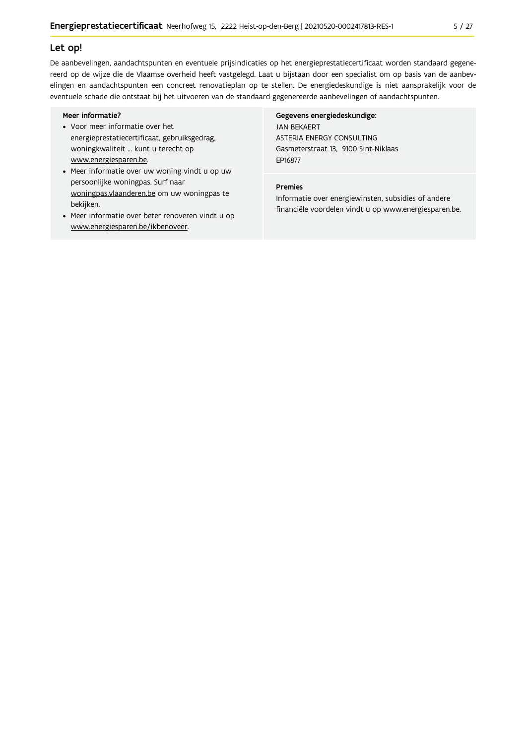#### Let op!

De aanbevelingen, aandachtspunten en eventuele prijsindicaties op het energieprestatiecertificaat worden standaard gegenereerd op de wijze die de Vlaamse overheid heeft vastgelegd. Laat u bijstaan door een specialist om op basis van de aanbevelingen en aandachtspunten een concreet renovatieplan op te stellen. De energiedeskundige is niet aansprakelijk voor de eventuele schade die ontstaat bij het uitvoeren van de standaard gegenereerde aanbevelingen of aandachtspunten.

#### Meer informatie?

- Voor meer informatie over het energieprestatiecertificaat, gebruiksgedrag, woningkwaliteit ... kunt u terecht op www.energiesparen.be.
- Meer informatie over uw woning vindt u op uw persoonlijke woningpas. Surf naar woningpas.vlaanderen.be om uw woningpas te bekijken.
- Meer informatie over beter renoveren vindt u op www.energiesparen.be/ikbenoveer.

#### Gegevens energiedeskundige: **JAN BEKAERT** ASTERIA ENERGY CONSULTING Gasmeterstraat 13, 9100 Sint-Niklaas EP16877

#### Premies

Informatie over energiewinsten, subsidies of andere financiële voordelen vindt u op www.energiesparen.be.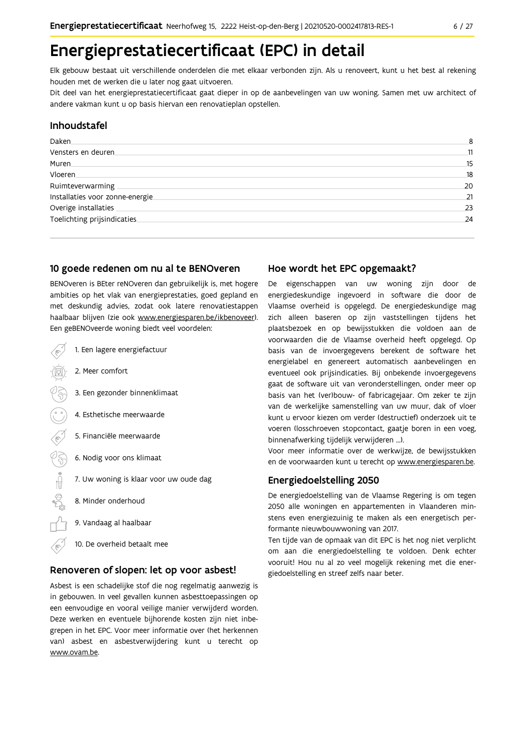## Energieprestatiecertificaat (EPC) in detail

Elk gebouw bestaat uit verschillende onderdelen die met elkaar verbonden zijn. Als u renoveert, kunt u het best al rekening houden met de werken die u later nog gaat uitvoeren.

Dit deel van het energieprestatiecertificaat gaat dieper in op de aanbevelingen van uw woning. Samen met uw architect of andere vakman kunt u op basis hiervan een renovatieplan opstellen.

#### Inhoudstafel

| Daken.                           | 8  |
|----------------------------------|----|
| Vensters en deuren               | 11 |
| Muren.                           | 15 |
| Vloeren                          | 18 |
| Ruimteverwarming                 | 20 |
| Installaties voor zonne-energie. | 21 |
| Overige installaties             | 23 |
| Toelichting prijsindicaties      | 24 |
|                                  |    |

#### 10 goede redenen om nu al te BENOveren

BENOveren is BEter reNOveren dan gebruikelijk is, met hogere ambities op het vlak van energieprestaties, goed gepland en met deskundig advies, zodat ook latere renovatiestappen haalbaar blijven (zie ook www.energiesparen.be/ikbenoveer). Een geBENOveerde woning biedt veel voordelen:

- 1. Een lagere energiefactuur 2. Meer comfort 3. Een gezonder binnenklimaat 4. Esthetische meerwaarde 5. Financiële meerwaarde  $\frac{1}{2}$ 6. Nodig voor ons klimaat 7. Uw woning is klaar voor uw oude dag 8. Minder onderhoud 9. Vandaag al haalbaar
	-
	- 10. De overheid betaalt mee

#### Renoveren of slopen: let op voor asbest!

Asbest is een schadelijke stof die nog regelmatig aanwezig is in gebouwen. In veel gevallen kunnen asbesttoepassingen op een eenvoudige en vooral veilige manier verwijderd worden. Deze werken en eventuele bijhorende kosten zijn niet inbegrepen in het EPC. Voor meer informatie over (het herkennen van) asbest en asbestverwijdering kunt u terecht op www.ovam.be.

#### Hoe wordt het EPC opgemaakt?

De eigenschappen van uw woning zijn door de energiedeskundige ingevoerd in software die door de Vlaamse overheid is opgelegd. De energiedeskundige mag zich alleen baseren op zijn vaststellingen tijdens het plaatsbezoek en op bewijsstukken die voldoen aan de voorwaarden die de Vlaamse overheid heeft opgelegd. Op basis van de invoergegevens berekent de software het energielabel en genereert automatisch aanbevelingen en eventueel ook prijsindicaties. Bij onbekende invoergegevens gaat de software uit van veronderstellingen, onder meer op basis van het (ver)bouw- of fabricagejaar. Om zeker te zijn van de werkelijke samenstelling van uw muur, dak of vloer kunt u ervoor kiezen om verder (destructief) onderzoek uit te voeren (losschroeven stopcontact, gaatje boren in een voeg, binnenafwerking tijdelijk verwijderen ...).

Voor meer informatie over de werkwijze, de bewijsstukken en de voorwaarden kunt u terecht op www.energiesparen.be.

#### **Energiedoelstelling 2050**

De energiedoelstelling van de Vlaamse Regering is om tegen 2050 alle woningen en appartementen in Vlaanderen minstens even energiezuinig te maken als een energetisch performante nieuwbouwwoning van 2017.

Ten tijde van de opmaak van dit EPC is het nog niet verplicht om aan die energiedoelstelling te voldoen. Denk echter vooruit! Hou nu al zo veel mogelijk rekening met die energiedoelstelling en streef zelfs naar beter.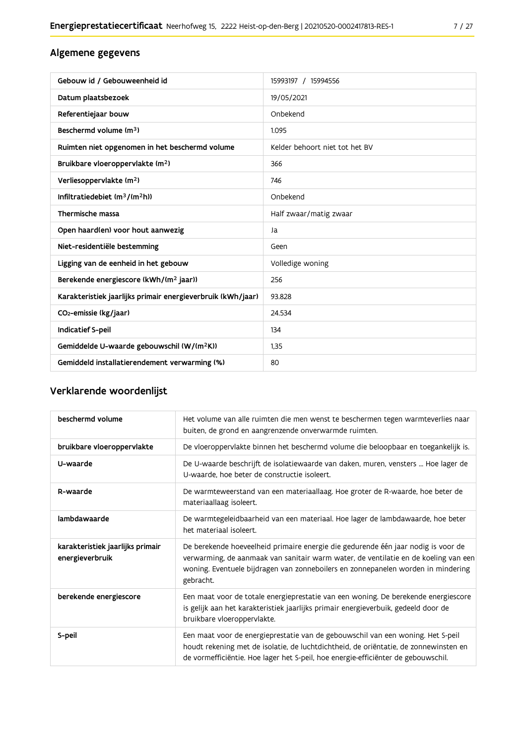### Algemene gegevens

| Gebouw id / Gebouweenheid id                                | 15993197 / 15994556            |
|-------------------------------------------------------------|--------------------------------|
| Datum plaatsbezoek                                          | 19/05/2021                     |
| Referentiejaar bouw                                         | Onbekend                       |
| Beschermd volume (m <sup>3</sup> )                          | 1.095                          |
| Ruimten niet opgenomen in het beschermd volume              | Kelder behoort niet tot het BV |
| Bruikbare vloeroppervlakte (m <sup>2</sup> )                | 366                            |
| Verliesoppervlakte (m <sup>2</sup> )                        | 746                            |
| Infiltratiedebiet $(m^3/(m^2h))$                            | Onbekend                       |
| Thermische massa                                            | Half zwaar/matig zwaar         |
| Open haard(en) voor hout aanwezig                           | Ja                             |
| Niet-residentiële bestemming                                | Geen                           |
| Ligging van de eenheid in het gebouw                        | Volledige woning               |
| Berekende energiescore (kWh/(m <sup>2</sup> jaar))          | 256                            |
| Karakteristiek jaarlijks primair energieverbruik (kWh/jaar) | 93.828                         |
|                                                             |                                |
| CO <sub>2</sub> -emissie (kg/jaar)                          | 24.534                         |
| Indicatief S-peil                                           | 134                            |
| Gemiddelde U-waarde gebouwschil (W/(m <sup>2</sup> K))      | 1,35                           |

### Verklarende woordenlijst

| beschermd volume                                    | Het volume van alle ruimten die men wenst te beschermen tegen warmteverlies naar<br>buiten, de grond en aangrenzende onverwarmde ruimten.                                                                                                                                 |
|-----------------------------------------------------|---------------------------------------------------------------------------------------------------------------------------------------------------------------------------------------------------------------------------------------------------------------------------|
| bruikbare vloeroppervlakte                          | De vloeroppervlakte binnen het beschermd volume die beloopbaar en toegankelijk is.                                                                                                                                                                                        |
| U-waarde                                            | De U-waarde beschrijft de isolatiewaarde van daken, muren, vensters  Hoe lager de<br>U-waarde, hoe beter de constructie isoleert.                                                                                                                                         |
| R-waarde                                            | De warmteweerstand van een materiaallaag. Hoe groter de R-waarde, hoe beter de<br>materiaallaag isoleert.                                                                                                                                                                 |
| lambdawaarde                                        | De warmtegeleidbaarheid van een materiaal. Hoe lager de lambdawaarde, hoe beter<br>het materiaal isoleert.                                                                                                                                                                |
| karakteristiek jaarlijks primair<br>energieverbruik | De berekende hoeveelheid primaire energie die gedurende één jaar nodig is voor de<br>verwarming, de aanmaak van sanitair warm water, de ventilatie en de koeling van een<br>woning. Eventuele bijdragen van zonneboilers en zonnepanelen worden in mindering<br>gebracht. |
| berekende energiescore                              | Een maat voor de totale energieprestatie van een woning. De berekende energiescore<br>is gelijk aan het karakteristiek jaarlijks primair energieverbuik, gedeeld door de<br>bruikbare vloeroppervlakte.                                                                   |
| S-peil                                              | Een maat voor de energieprestatie van de gebouwschil van een woning. Het S-peil<br>houdt rekening met de isolatie, de luchtdichtheid, de oriëntatie, de zonnewinsten en<br>de vormefficiëntie. Hoe lager het S-peil, hoe energie-efficiënter de gebouwschil.              |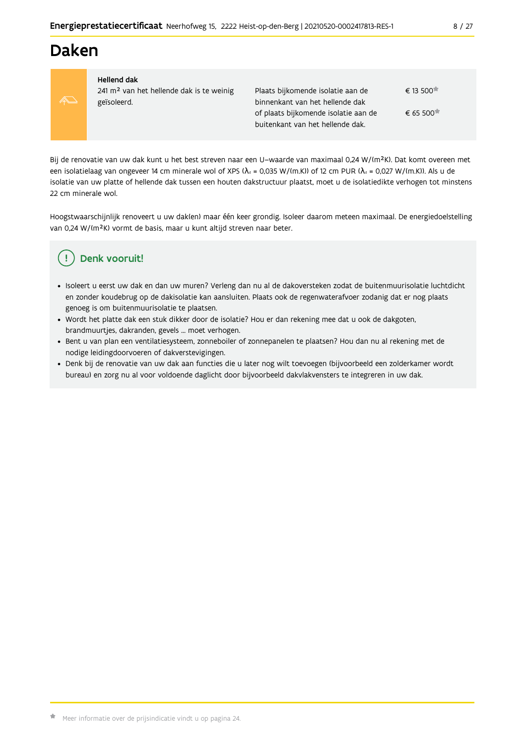### **Daken**



#### **Hellend dak**

241 m<sup>2</sup> van het hellende dak is te weinig geïsoleerd.

Plaats bijkomende isolatie aan de € 13.500<sup> $\uparrow$ </sup> binnenkant van het hellende dak  $\epsilon$  65 500<sup> $\star$ </sup> of plaats bijkomende isolatie aan de buitenkant van het hellende dak.

Bij de renovatie van uw dak kunt u het best streven naar een U-waarde van maximaal 0,24 W/(m<sup>2</sup>K). Dat komt overeen met een isolatielaag van ongeveer 14 cm minerale wol of XPS ( $\lambda_a$  = 0,035 W/(m.K)) of 12 cm PUR ( $\lambda_a$  = 0,027 W/(m.K)). Als u de isolatie van uw platte of hellende dak tussen een houten dakstructuur plaatst, moet u de isolatiedikte verhogen tot minstens 22 cm minerale wol.

Hoogstwaarschijnlijk renoveert u uw dak(en) maar één keer grondig. Isoleer daarom meteen maximaal. De energiedoelstelling van 0,24 W/(m<sup>2</sup>K) vormt de basis, maar u kunt altijd streven naar beter.

### Denk vooruit!

- · Isoleert u eerst uw dak en dan uw muren? Verleng dan nu al de dakoversteken zodat de buitenmuurisolatie luchtdicht en zonder koudebrug op de dakisolatie kan aansluiten. Plaats ook de regenwaterafvoer zodanig dat er nog plaats genoeg is om buitenmuurisolatie te plaatsen.
- · Wordt het platte dak een stuk dikker door de isolatie? Hou er dan rekening mee dat u ook de dakgoten, brandmuurtjes, dakranden, gevels ... moet verhogen.
- · Bent u van plan een ventilatiesysteem, zonneboiler of zonnepanelen te plaatsen? Hou dan nu al rekening met de nodige leidingdoorvoeren of dakverstevigingen.
- · Denk bij de renovatie van uw dak aan functies die u later nog wilt toevoegen (bijvoorbeeld een zolderkamer wordt bureau) en zorg nu al voor voldoende daglicht door bijvoorbeeld dakvlakvensters te integreren in uw dak.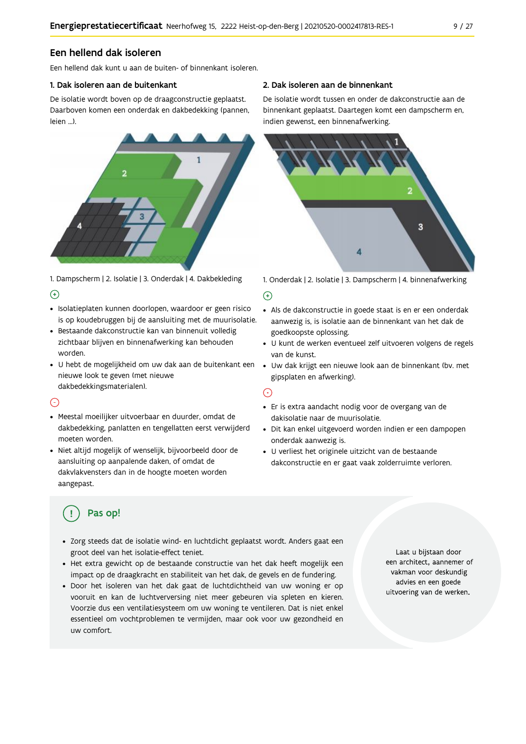#### Een hellend dak isoleren

Fen hellend dak kunt u aan de buiten- of binnenkant isoleren

#### 1. Dak isoleren aan de buitenkant

De isolatie wordt boven op de draagconstructie geplaatst. Daarboven komen een onderdak en dakbedekking (pannen, leien ...).



1. Dampscherm | 2. Isolatie | 3. Onderdak | 4. Dakbekleding  $\Theta$ 

- · Isolatieplaten kunnen doorlopen, waardoor er geen risico is op koudebruggen bij de aansluiting met de muurisolatie.
- · Bestaande dakconstructie kan van binnenuit volledig zichtbaar blijven en binnenafwerking kan behouden worden.
- · U hebt de mogelijkheid om uw dak aan de buitenkant een · Uw dak krijgt een nieuwe look aan de binnenkant (bv. met nieuwe look te geven (met nieuwe dakbedekkingsmaterialen).

#### $\bigcap$

- · Meestal moeilijker uitvoerbaar en duurder, omdat de dakbedekking, panlatten en tengellatten eerst verwijderd moeten worden.
- · Niet altijd mogelijk of wenselijk, bijvoorbeeld door de aansluiting op aanpalende daken, of omdat de dakvlakvensters dan in de hoogte moeten worden aangepast.

#### 2. Dak isoleren aan de binnenkant

De isolatie wordt tussen en onder de dakconstructie aan de binnenkant geplaatst. Daartegen komt een dampscherm en, indien gewenst, een binnenafwerking.



1. Onderdak | 2. Isolatie | 3. Dampscherm | 4. binnenafwerking

#### $\bigoplus$

- Als de dakconstructie in goede staat is en er een onderdak aanwezig is, is isolatie aan de binnenkant van het dak de goedkoopste oplossing.
- · U kunt de werken eventueel zelf uitvoeren volgens de regels van de kunst.
- gipsplaten en afwerking).

#### ⊙

- · Er is extra aandacht nodig voor de overgang van de dakisolatie naar de muurisolatie.
- · Dit kan enkel uitgevoerd worden indien er een dampopen onderdak aanwezig is.
- · U verliest het originele uitzicht van de bestaande dakconstructie en er gaat vaak zolderruimte verloren.

### Pas op!

- · Zorg steeds dat de isolatie wind- en luchtdicht geplaatst wordt. Anders gaat een groot deel van het isolatie-effect teniet.
- · Het extra gewicht op de bestaande constructie van het dak heeft mogelijk een impact op de draagkracht en stabiliteit van het dak, de gevels en de fundering.
- · Door het isoleren van het dak gaat de luchtdichtheid van uw woning er op vooruit en kan de luchtverversing niet meer gebeuren via spleten en kieren. Voorzie dus een ventilatiesysteem om uw woning te ventileren. Dat is niet enkel essentieel om vochtproblemen te vermijden, maar ook voor uw gezondheid en uw comfort.

Laat u bijstaan door een architect, aannemer of vakman voor deskundig advies en een goede uitvoering van de werken.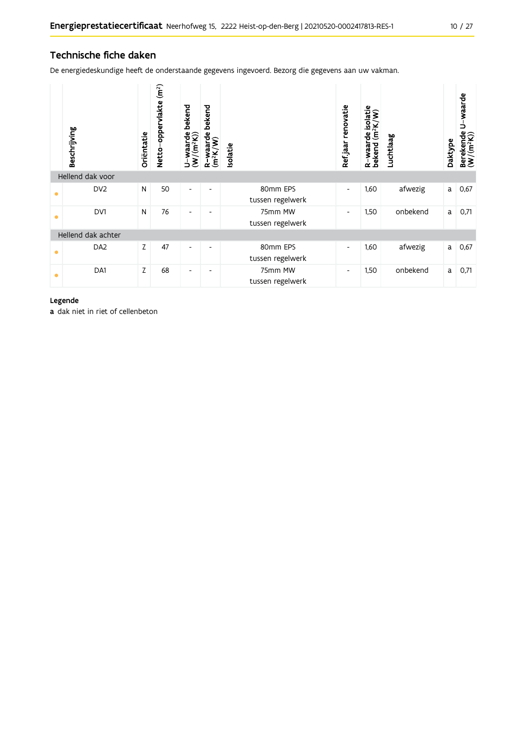### Technische fiche daken

De energiedeskundige heeft de onderstaande gegevens ingevoerd. Bezorg die gegevens aan uw vakman.

|                    | Beschrijving     | Oriëntatie | (m <sup>2</sup> )<br>Netto-oppervlakte | bekend<br>U-waarde l<br>(W/(m <sup>2</sup> K)) | bekend<br>R-waarde l<br>(m <sup>2</sup> K/W) | <b>Isolatie</b>              | renovatie<br>Refjaar     | R-waarde isolatie<br>bekend (m <sup>2</sup> K/W) | Luchtlaag | Daktype | U-waarde<br>Berekende<br>$(W/(m^2K))$ |
|--------------------|------------------|------------|----------------------------------------|------------------------------------------------|----------------------------------------------|------------------------------|--------------------------|--------------------------------------------------|-----------|---------|---------------------------------------|
|                    | Hellend dak voor |            |                                        |                                                |                                              |                              |                          |                                                  |           |         |                                       |
| $\bullet$          | DV <sub>2</sub>  | N          | 50                                     | $\blacksquare$                                 | ٠                                            | 80mm EPS<br>tussen regelwerk | $\overline{\phantom{a}}$ | 1,60                                             | afwezig   | a       | 0,67                                  |
| $\bullet$          | DV1              | N          | 76                                     | $\overline{\phantom{a}}$                       | ٠                                            | 75mm MW<br>tussen regelwerk  | $\overline{\phantom{a}}$ | 1,50                                             | onbekend  | a       | 0,71                                  |
| Hellend dak achter |                  |            |                                        |                                                |                                              |                              |                          |                                                  |           |         |                                       |
| $\bullet$          | DA <sub>2</sub>  | Z          | 47                                     | $\overline{\phantom{a}}$                       |                                              | 80mm EPS<br>tussen regelwerk | $\overline{\phantom{a}}$ | 1,60                                             | afwezig   | a       | 0,67                                  |
| $\bullet$          | DA1              | Z          | 68                                     | $\overline{\phantom{a}}$                       | ٠                                            | 75mm MW<br>tussen regelwerk  | $\overline{\phantom{a}}$ | 1,50                                             | onbekend  | a       | 0,71                                  |

#### Legende

a dak niet in riet of cellenbeton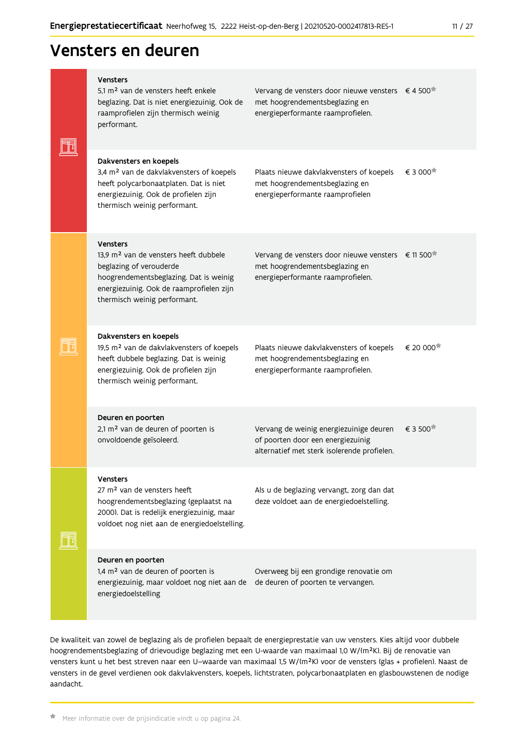### Vensters en deuren

|  | <b>Vensters</b><br>5.1 m <sup>2</sup> van de vensters heeft enkele<br>beglazing. Dat is niet energiezuinig. Ook de<br>raamprofielen zijn thermisch weinig<br>performant.                                              | Vervang de vensters door nieuwe vensters € 4 500 <sup>*</sup><br>met hoogrendementsbeglazing en<br>energieperformante raamprofielen.  |                       |
|--|-----------------------------------------------------------------------------------------------------------------------------------------------------------------------------------------------------------------------|---------------------------------------------------------------------------------------------------------------------------------------|-----------------------|
|  | Dakvensters en koepels<br>3,4 m <sup>2</sup> van de dakvlakvensters of koepels<br>heeft polycarbonaatplaten. Dat is niet<br>energiezuinig. Ook de profielen zijn<br>thermisch weinig performant.                      | Plaats nieuwe dakvlakvensters of koepels<br>met hoogrendementsbeglazing en<br>energieperformante raamprofielen                        | € 3 000               |
|  | <b>Vensters</b><br>13.9 m <sup>2</sup> van de vensters heeft dubbele<br>beglazing of verouderde<br>hoogrendementsbeglazing. Dat is weinig<br>energiezuinig. Ook de raamprofielen zijn<br>thermisch weinig performant. | Vervang de vensters door nieuwe vensters € 11 500 <sup>*</sup><br>met hoogrendementsbeglazing en<br>energieperformante raamprofielen. |                       |
|  | Dakvensters en koepels<br>19,5 m <sup>2</sup> van de dakvlakvensters of koepels<br>heeft dubbele beglazing. Dat is weinig<br>energiezuinig. Ook de profielen zijn<br>thermisch weinig performant.                     | Plaats nieuwe dakvlakvensters of koepels<br>met hoogrendementsbeglazing en<br>energieperformante raamprofielen.                       | € 20 000 <sup>★</sup> |
|  | Deuren en poorten<br>2,1 m <sup>2</sup> van de deuren of poorten is<br>onvoldoende geïsoleerd.                                                                                                                        | Vervang de weinig energiezuinige deuren<br>of poorten door een energiezuinig<br>alternatief met sterk isolerende profielen.           | € 3 500               |
|  | <b>Vensters</b><br>27 m <sup>2</sup> van de vensters heeft<br>hoogrendementsbeglazing (geplaatst na<br>2000). Dat is redelijk energiezuinig, maar<br>voldoet nog niet aan de energiedoelstelling.                     | Als u de beglazing vervangt, zorg dan dat<br>deze voldoet aan de energiedoelstelling.                                                 |                       |
|  | Deuren en poorten<br>1,4 m <sup>2</sup> van de deuren of poorten is<br>energiezuinig, maar voldoet nog niet aan de<br>energiedoelstelling                                                                             | Overweeg bij een grondige renovatie om<br>de deuren of poorten te vervangen.                                                          |                       |

De kwaliteit van zowel de beglazing als de profielen bepaalt de energieprestatie van uw vensters. Kies altijd voor dubbele hoogrendementsbeglazing of drievoudige beglazing met een U-waarde van maximaal 1,0 W/(m<sup>2</sup>K). Bij de renovatie van vensters kunt u het best streven naar een U-waarde van maximaal 1,5 W/(m<sup>2</sup>K) voor de vensters (glas + profielen). Naast de vensters in de gevel verdienen ook dakvlakvensters, koepels, lichtstraten, polycarbonaatplaten en glasbouwstenen de nodige aandacht.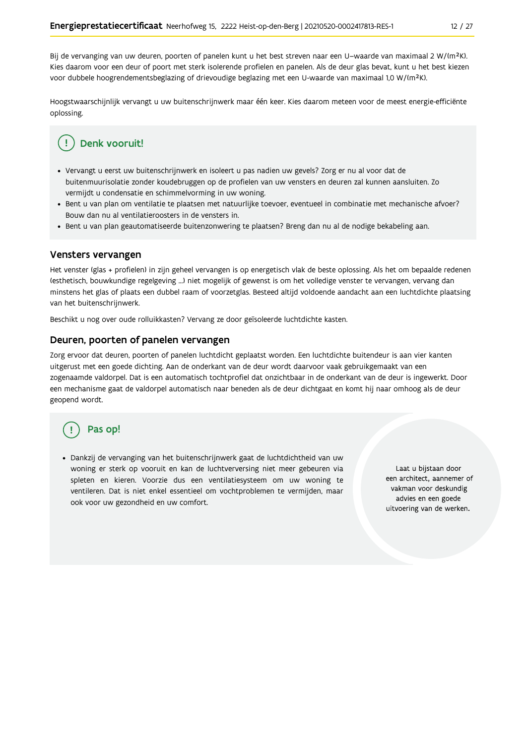Bij de vervanging van uw deuren, poorten of panelen kunt u het best streven naar een U-waarde van maximaal 2 W/(m<sup>2</sup>K). Kies daarom voor een deur of poort met sterk isolerende profielen en panelen. Als de deur glas bevat, kunt u het best kiezen voor dubbele hoogrendementsbeglazing of drievoudige beglazing met een U-waarde van maximaal 1,0 W/(m<sup>2</sup>K).

Hoogstwaarschijnlijk vervangt u uw buitenschrijnwerk maar één keer. Kies daarom meteen voor de meest energie-efficiënte oplossing.

### Denk vooruit!

- · Vervangt u eerst uw buitenschrijnwerk en isoleert u pas nadien uw gevels? Zorg er nu al voor dat de buitenmuurisolatie zonder koudebruggen op de profielen van uw vensters en deuren zal kunnen aansluiten. Zo vermijdt u condensatie en schimmelvorming in uw woning.
- Bent u van plan om ventilatie te plaatsen met natuurlijke toevoer, eventueel in combinatie met mechanische afvoer? Bouw dan nu al ventilatieroosters in de vensters in.
- · Bent u van plan geautomatiseerde buitenzonwering te plaatsen? Breng dan nu al de nodige bekabeling aan.

#### Vensters vervangen

Het venster (glas + profielen) in zijn geheel vervangen is op energetisch vlak de beste oplossing. Als het om bepaalde redenen (esthetisch, bouwkundige regelgeving ...) niet mogelijk of gewenst is om het volledige venster te vervangen, vervang dan minstens het glas of plaats een dubbel raam of voorzetglas. Besteed altijd voldoende aandacht aan een luchtdichte plaatsing van het buitenschrijnwerk.

Beschikt u nog over oude rolluikkasten? Vervang ze door geïsoleerde luchtdichte kasten.

#### Deuren, poorten of panelen vervangen

Zorg ervoor dat deuren, poorten of panelen luchtdicht geplaatst worden. Een luchtdichte buitendeur is aan vier kanten uitgerust met een goede dichting. Aan de onderkant van de deur wordt daarvoor vaak gebruikgemaakt van een zogenaamde valdorpel. Dat is een automatisch tochtprofiel dat onzichtbaar in de onderkant van de deur is ingewerkt. Door een mechanisme gaat de valdorpel automatisch naar beneden als de deur dichtgaat en komt hij naar omhoog als de deur geopend wordt.

### Pas op!

· Dankzij de vervanging van het buitenschrijnwerk gaat de luchtdichtheid van uw woning er sterk op vooruit en kan de luchtverversing niet meer gebeuren via spleten en kieren. Voorzie dus een ventilatiesysteem om uw woning te ventileren. Dat is niet enkel essentieel om vochtproblemen te vermijden, maar ook voor uw gezondheid en uw comfort.

Laat u bijstaan door een architect, aannemer of vakman voor deskundig advies en een goede uitvoering van de werken.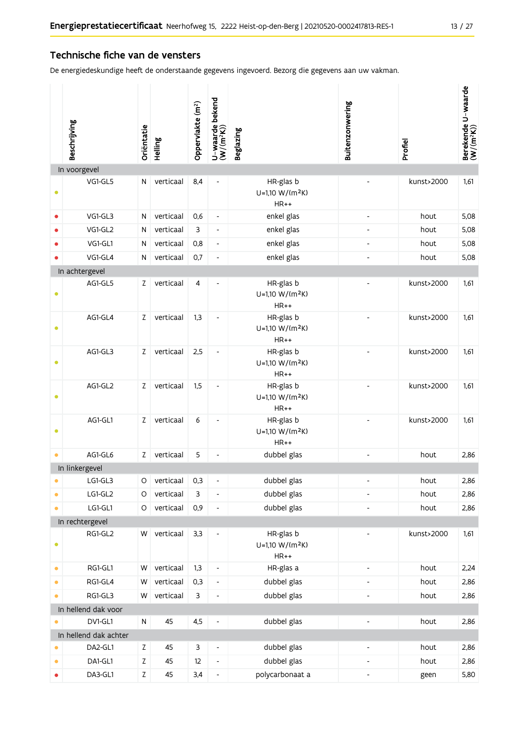#### Technische fiche van de vensters

De energiedeskundige heeft de onderstaande gegevens ingevoerd. Bezorg die gegevens aan uw vakman.

|           | Beschrijving          | Oriëntatie  | Helling   | Oppervlakte (m <sup>2</sup> ) | U-waarde bekend<br>(W/(m <sup>2</sup> K)) | <b>Beglazing</b>                                   | Buitenzonwering              | Profiel    | Berekende U-waarde<br>(W/(m <sup>2</sup> K)) |
|-----------|-----------------------|-------------|-----------|-------------------------------|-------------------------------------------|----------------------------------------------------|------------------------------|------------|----------------------------------------------|
|           | In voorgevel          |             |           |                               |                                           |                                                    |                              |            |                                              |
| $\bullet$ | VG1-GL5               | N           | verticaal | 8,4                           |                                           | HR-glas b<br>U=1,10 W/(m <sup>2</sup> K)<br>$HR++$ |                              | kunst>2000 | 1,61                                         |
| $\bullet$ | VG1-GL3               | N           | verticaal | 0,6                           | $\blacksquare$                            | enkel glas                                         | $\blacksquare$               | hout       | 5,08                                         |
| $\bullet$ | VG1-GL2               | N           | verticaal | 3                             | $\overline{\phantom{a}}$                  | enkel glas                                         |                              | hout       | 5,08                                         |
|           | VG1-GL1               | N           | verticaal | 0,8                           | $\overline{\phantom{a}}$                  | enkel glas                                         | $\blacksquare$               | hout       | 5,08                                         |
|           | VG1-GL4               | N           | verticaal | 0,7                           | $\blacksquare$                            | enkel glas                                         |                              | hout       | 5,08                                         |
|           | In achtergevel        |             |           |                               |                                           |                                                    |                              |            |                                              |
| $\bullet$ | AG1-GL5               | Z           | verticaal | 4                             |                                           | HR-glas b<br>U=1,10 W/(m <sup>2</sup> K)<br>$HR++$ |                              | kunst>2000 | 1,61                                         |
| ۰         | AG1-GL4               | $\mathsf Z$ | verticaal | 1,3                           | $\overline{\phantom{a}}$                  | HR-glas b<br>U=1,10 W/(m <sup>2</sup> K)<br>$HR++$ |                              | kunst>2000 | 1,61                                         |
| $\bullet$ | AG1-GL3               | $\mathsf Z$ | verticaal | 2,5                           | $\qquad \qquad \blacksquare$              | HR-glas b<br>U=1,10 W/(m <sup>2</sup> K)<br>$HR++$ |                              | kunst>2000 | 1,61                                         |
| ۰         | AG1-GL2               | $\mathsf Z$ | verticaal | 1,5                           | $\qquad \qquad \blacksquare$              | HR-glas b<br>U=1,10 W/(m <sup>2</sup> K)<br>$HR++$ |                              | kunst>2000 | 1,61                                         |
| $\bullet$ | AG1-GL1               | Z           | verticaal | 6                             | $\overline{\phantom{m}}$                  | HR-glas b<br>U=1,10 W/(m <sup>2</sup> K)<br>$HR++$ |                              | kunst>2000 | 1,61                                         |
| $\bullet$ | AG1-GL6               | $\mathsf Z$ | verticaal | 5                             | $\qquad \qquad \blacksquare$              | dubbel glas                                        | ÷,                           | hout       | 2,86                                         |
|           | In linkergevel        |             |           |                               |                                           |                                                    |                              |            |                                              |
|           | LG1-GL3               | O           | verticaal | 0,3                           | $\overline{\phantom{m}}$                  | dubbel glas                                        |                              | hout       | 2,86                                         |
| $\bullet$ | LG1-GL2               | O           | verticaal | 3                             | $\qquad \qquad \blacksquare$              | dubbel glas                                        | ÷,                           | hout       | 2,86                                         |
| $\bullet$ | LG1-GL1               | $\circ$     | verticaal | 0,9                           | $\qquad \qquad -$                         | dubbel glas                                        |                              | hout       | 2,86                                         |
|           | In rechtergevel       |             |           |                               |                                           |                                                    |                              |            |                                              |
| $\bullet$ | RG1-GL2               | W           | verticaal | 3,3                           | $\overline{\phantom{a}}$                  | HR-glas b<br>U=1,10 W/(m <sup>2</sup> K)<br>$HR++$ |                              | kunst>2000 | 1,61                                         |
| $\bullet$ | RG1-GL1               | W           | verticaal | 1,3                           | $\overline{\phantom{a}}$                  | HR-glas a                                          | $\overline{\phantom{0}}$     | hout       | 2,24                                         |
| $\bullet$ | RG1-GL4               | W           | verticaal | 0,3                           | $\overline{\phantom{a}}$                  | dubbel glas                                        | $\qquad \qquad \blacksquare$ | hout       | 2,86                                         |
| $\bullet$ | RG1-GL3               | W           | verticaal | 3                             | $\qquad \qquad \blacksquare$              | dubbel glas                                        |                              | hout       | 2,86                                         |
|           | In hellend dak voor   |             |           |                               |                                           |                                                    |                              |            |                                              |
|           | DV1-GL1               | N           | 45        | 4,5                           | $\qquad \qquad \blacksquare$              | dubbel glas                                        | Ĭ.                           | hout       | 2,86                                         |
|           | In hellend dak achter |             |           |                               |                                           |                                                    |                              |            |                                              |
|           | DA2-GL1               | $\mathsf Z$ | 45        | 3                             | $\overline{\phantom{a}}$                  | dubbel glas                                        | Ĭ.                           | hout       | 2,86                                         |
| $\bullet$ | DA1-GL1               | Z           | 45        | 12                            | $\overline{\phantom{a}}$                  | dubbel glas                                        | $\overline{\phantom{0}}$     | hout       | 2,86                                         |
| $\bullet$ | DA3-GL1               | $\mathsf Z$ | 45        | 3,4                           | $\qquad \qquad \blacksquare$              | polycarbonaat a                                    | $\overline{\phantom{0}}$     | geen       | 5,80                                         |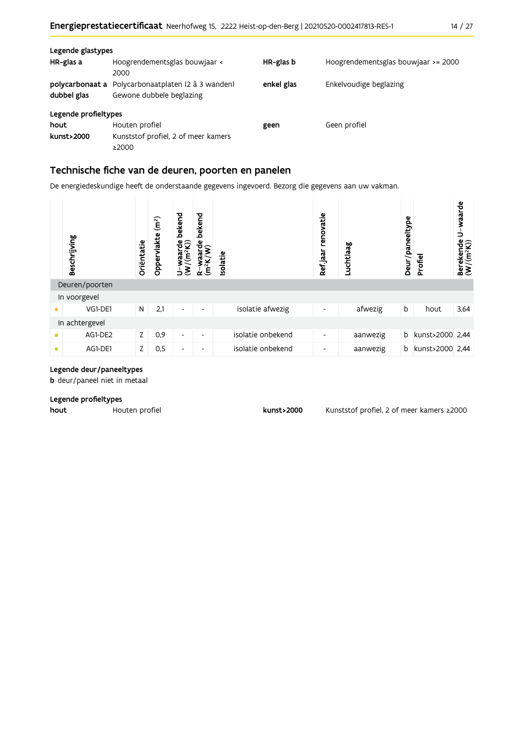| Legende glastypes<br>HR-glas a | Hoogrendementsglas bouwjaar <<br>2000                                          | HR-glas b  | Hoogrendementsglas bouwjaar >= 2000 |
|--------------------------------|--------------------------------------------------------------------------------|------------|-------------------------------------|
| dubbel glas                    | polycarbonaat a Polycarbonaatplaten (2 à 3 wanden)<br>Gewone dubbele beglazing | enkel glas | Enkelvoudige beglazing              |
| Legende profieltypes           |                                                                                |            |                                     |
| hout<br>kunst>2000             | Houten profiel<br>Kunststof profiel, 2 of meer kamers<br>≥2000                 | geen       | Geen profiel                        |

#### Technische fiche van de deuren, poorten en panelen

De energiedeskundige heeft de onderstaande gegevens ingevoerd. Bezorg die gegevens aan uw vakman.

| Beschrijving   | Oriëntatie | (m <sup>2</sup> )<br>Oppervlakte | bekend<br>raarde<br>(m <sup>2</sup> K))<br>ξ<br>⊃ | bekend<br>$\frac{4}{3}$<br>ಗ<br>ಗ<br>R-Wa<br>(m <sup>2</sup> K | solatie           | renovatie<br>Refjaar | Luchtlaag | Deur/paneeltype | Profiel         | U-waarde<br>Berekende I<br>(W/(m <sup>2</sup> K)) |
|----------------|------------|----------------------------------|---------------------------------------------------|----------------------------------------------------------------|-------------------|----------------------|-----------|-----------------|-----------------|---------------------------------------------------|
| Deuren/poorten |            |                                  |                                                   |                                                                |                   |                      |           |                 |                 |                                                   |
| In voorgevel   |            |                                  |                                                   |                                                                |                   |                      |           |                 |                 |                                                   |
| VG1-DE1        | N          | 2,1                              | $\overline{\phantom{a}}$                          | $\overline{\phantom{a}}$                                       | isolatie afwezig  | ٠                    | afwezig   | b               | hout            | 3,64                                              |
| In achtergevel |            |                                  |                                                   |                                                                |                   |                      |           |                 |                 |                                                   |
| AG1-DE2        | Z.         | 0,9                              | $\overline{\phantom{a}}$                          | ٠                                                              | isolatie onbekend | ٠                    | aanwezig  | b               | kunst>2000 2,44 |                                                   |
| AG1-DE1        | Z.         | 0,5                              | $\overline{\phantom{a}}$                          |                                                                | isolatie onbekend | -                    | aanwezig  | b               | kunst>2000 2.44 |                                                   |

#### Legende deur/paneeltypes

**b** deur/paneel niet in metaal

#### Legende profieltypes

hout Houten profiel kunst>2000

Kunststof profiel, 2 of meer kamers ≥2000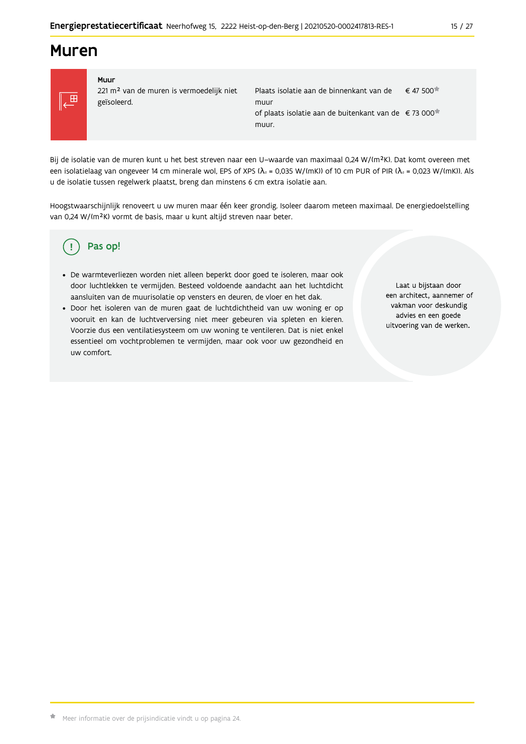### **Muren**



#### Muur 221 m<sup>2</sup> van de muren is vermoedelijk niet geïsoleerd.

| Plaats isolatie aan de binnenkant van de                         | $\epsilon$ 47 500 |
|------------------------------------------------------------------|-------------------|
| muur                                                             |                   |
| of plaats isolatie aan de buitenkant van de €73 000 <sup>*</sup> |                   |
| muur.                                                            |                   |

Bij de isolatie van de muren kunt u het best streven naar een U-waarde van maximaal 0,24 W/(m<sup>2</sup>K). Dat komt overeen met een isolatielaag van ongeveer 14 cm minerale wol, EPS of XPS ( $\lambda_a$  = 0,035 W/(mK)) of 10 cm PUR of PIR ( $\lambda_a$  = 0,023 W/(mK)). Als u de isolatie tussen regelwerk plaatst, breng dan minstens 6 cm extra isolatie aan.

Hoogstwaarschijnlijk renoveert u uw muren maar één keer grondig. Isoleer daarom meteen maximaal. De energiedoelstelling van 0,24 W/(m<sup>2</sup>K) vormt de basis, maar u kunt altijd streven naar beter.

#### Pas op! Ţ

- · De warmteverliezen worden niet alleen beperkt door goed te isoleren, maar ook door luchtlekken te vermijden. Besteed voldoende aandacht aan het luchtdicht aansluiten van de muurisolatie op vensters en deuren, de vloer en het dak.
- · Door het isoleren van de muren gaat de luchtdichtheid van uw woning er op vooruit en kan de luchtverversing niet meer gebeuren via spleten en kieren. Voorzie dus een ventilatiesysteem om uw woning te ventileren. Dat is niet enkel essentieel om vochtproblemen te vermijden, maar ook voor uw gezondheid en uw comfort.

Laat u bijstaan door een architect, aannemer of vakman voor deskundig advies en een goede uitvoering van de werken.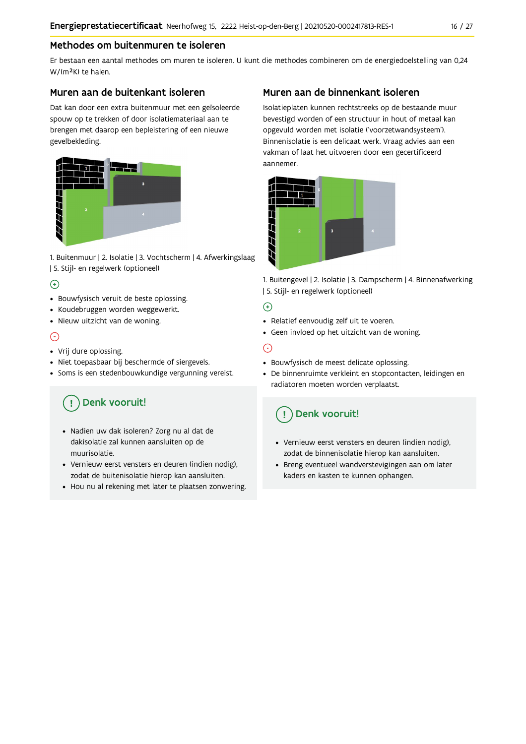#### Methodes om buitenmuren te isoleren

Er bestaan een aantal methodes om muren te isoleren. U kunt die methodes combineren om de energiedoelstelling van 0,24 W/(m<sup>2</sup>K) te halen.

#### Muren aan de buitenkant isoleren

Dat kan door een extra buitenmuur met een geïsoleerde spouw op te trekken of door isolatiemateriaal aan te brengen met daarop een bepleistering of een nieuwe gevelbekleding.



1. Buitenmuur | 2. Isolatie | 3. Vochtscherm | 4. Afwerkingslaag | 5. Stijl- en regelwerk (optioneel)

#### $\bigoplus$

- Bouwfysisch veruit de beste oplossing.
- Koudebruggen worden weggewerkt.
- · Nieuw uitzicht van de woning.

#### $\odot$

#### • Vrij dure oplossing.

- · Niet toepasbaar bij beschermde of siergevels.
- Soms is een stedenbouwkundige vergunning vereist.

### Denk vooruit!

- · Nadien uw dak isoleren? Zorg nu al dat de dakisolatie zal kunnen aansluiten op de muurisolatie.
- · Vernieuw eerst vensters en deuren (indien nodig), zodat de buitenisolatie hierop kan aansluiten.
- Hou nu al rekening met later te plaatsen zonwering.

#### Muren aan de binnenkant isoleren

Isolatieplaten kunnen rechtstreeks op de bestaande muur bevestigd worden of een structuur in hout of metaal kan opgevuld worden met isolatie ('voorzetwandsysteem'). Binnenisolatie is een delicaat werk. Vraag advies aan een vakman of laat het uitvoeren door een gecertificeerd aannemer



1. Buitengevel | 2. Isolatie | 3. Dampscherm | 4. Binnenafwerking | 5. Stijl- en regelwerk (optioneel)

#### $\bigoplus$

- Relatief eenvoudig zelf uit te voeren.
- Geen invloed op het uitzicht van de woning.

#### ⊝

- Bouwfysisch de meest delicate oplossing.
- · De binnenruimte verkleint en stopcontacten, leidingen en radiatoren moeten worden verplaatst.

### Denk vooruit!

- Vernieuw eerst vensters en deuren (indien nodig), zodat de binnenisolatie hierop kan aansluiten.
- · Breng eventueel wandverstevigingen aan om later kaders en kasten te kunnen ophangen.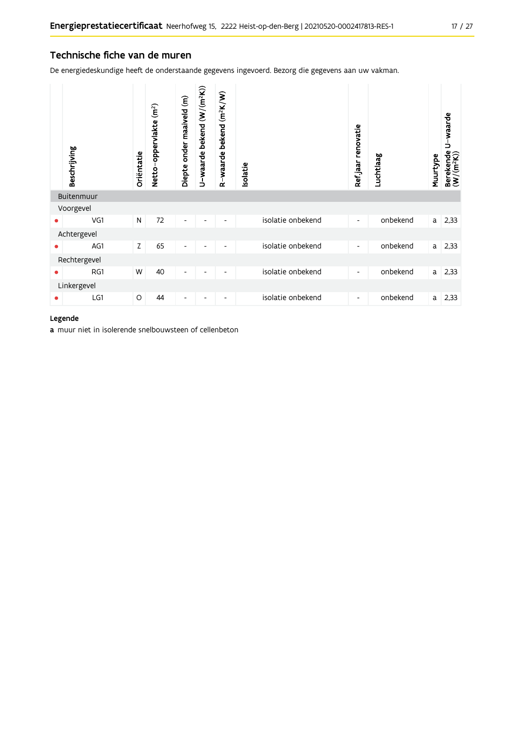#### Technische fiche van de muren

De energiedeskundige heeft de onderstaande gegevens ingevoerd. Bezorg die gegevens aan uw vakman.

|              | Beschrijving | Oriëntatie | Netto-oppervlakte (m <sup>2</sup> ) | Diepte onder maaiveld (m) | U-waarde bekend (W/(m <sup>2</sup> K)) | $(m^2K/W)$<br>bekend<br>R-waarde | solatie |                   | Ref.jaar renovatie       | Luchtlaag | Muurtype | U-waarde<br>Berekende I<br>(W/(m <sup>2</sup> K)) |
|--------------|--------------|------------|-------------------------------------|---------------------------|----------------------------------------|----------------------------------|---------|-------------------|--------------------------|-----------|----------|---------------------------------------------------|
|              | Buitenmuur   |            |                                     |                           |                                        |                                  |         |                   |                          |           |          |                                                   |
|              | Voorgevel    |            |                                     |                           |                                        |                                  |         |                   |                          |           |          |                                                   |
| ٠            | VG1          | N          | 72                                  | $\overline{\phantom{a}}$  |                                        |                                  |         | isolatie onbekend | $\overline{\phantom{a}}$ | onbekend  | a        | 2,33                                              |
|              | Achtergevel  |            |                                     |                           |                                        |                                  |         |                   |                          |           |          |                                                   |
| ۰            | AG1          | Z          | 65                                  | $\overline{\phantom{a}}$  | ٠                                      | $\overline{\phantom{a}}$         |         | isolatie onbekend | $\overline{\phantom{a}}$ | onbekend  | a        | 2,33                                              |
| Rechtergevel |              |            |                                     |                           |                                        |                                  |         |                   |                          |           |          |                                                   |
| ٠            | RG1          | W          | 40                                  | $\overline{\phantom{a}}$  |                                        | $\overline{\phantom{a}}$         |         | isolatie onbekend | $\overline{\phantom{a}}$ | onbekend  | a        | 2,33                                              |
|              | Linkergevel  |            |                                     |                           |                                        |                                  |         |                   |                          |           |          |                                                   |
| ٠            | LG1          | O          | 44                                  | -                         |                                        |                                  |         | isolatie onbekend | $\overline{\phantom{a}}$ | onbekend  | a        | 2,33                                              |

#### Legende

a muur niet in isolerende snelbouwsteen of cellenbeton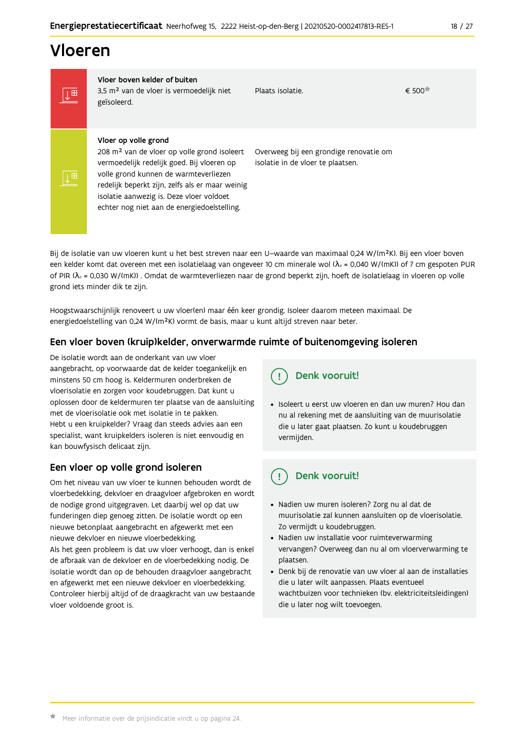### Vloeren

IT

∥⊥⊞

Vloer boven kelder of buiten 3,5 m<sup>2</sup> van de vloer is vermoedelijk niet geïsoleerd.

Plaats isolatie.

 $\epsilon$  500 $\pm$ 

#### Vloer op volle grond

208 m<sup>2</sup> van de vloer op volle grond isoleert vermoedelijk redelijk goed. Bij vloeren op volle grond kunnen de warmteverliezen redelijk beperkt zijn, zelfs als er maar weinig isolatie aanwezig is. Deze vloer voldoet echter nog niet aan de energiedoelstelling.

Overweeg bij een grondige renovatie om isolatie in de vloer te plaatsen.

Bij de isolatie van uw vloeren kunt u het best streven naar een U-waarde van maximaal 0,24 W/(m<sup>2</sup>K). Bij een vloer boven een kelder komt dat overeen met een isolatielaag van ongeveer 10 cm minerale wol ( $\lambda_d$  = 0,040 W/(mK)) of 7 cm gespoten PUR of PIR ( $\lambda_0$  = 0,030 W/(mK)). Omdat de warmteverliezen naar de grond beperkt zijn, hoeft de isolatielaag in vloeren op volle grond iets minder dik te zijn.

Hoogstwaarschijnlijk renoveert u uw vloer(en) maar één keer grondig. Isoleer daarom meteen maximaal. De energiedoelstelling van 0,24 W/(m<sup>2</sup>K) vormt de basis, maar u kunt altijd streven naar beter.

#### Een vloer boven (kruip)kelder, onverwarmde ruimte of buitenomgeving isoleren

De isolatie wordt aan de onderkant van uw vloer aangebracht, op voorwaarde dat de kelder toegankelijk en minstens 50 cm hoog is. Keldermuren onderbreken de vloerisolatie en zorgen voor koudebruggen. Dat kunt u oplossen door de keldermuren ter plaatse van de aansluiting met de vloerisolatie ook met isolatie in te pakken. Hebt u een kruipkelder? Vraag dan steeds advies aan een specialist, want kruipkelders isoleren is niet eenvoudig en kan bouwfysisch delicaat zijn.

#### Een vloer op volle grond isoleren

Om het niveau van uw vloer te kunnen behouden wordt de vloerbedekking, dekvloer en draagvloer afgebroken en wordt de nodige grond uitgegraven. Let daarbij wel op dat uw funderingen diep genoeg zitten. De isolatie wordt op een nieuwe betonplaat aangebracht en afgewerkt met een nieuwe dekvloer en nieuwe vloerbedekking.

Als het geen probleem is dat uw vloer verhoogt, dan is enkel de afbraak van de dekvloer en de vloerbedekking nodig. De isolatie wordt dan op de behouden draagvloer aangebracht en afgewerkt met een nieuwe dekvloer en vloerbedekking. Controleer hierbij altijd of de draagkracht van uw bestaande vloer voldoende groot is.

### Denk vooruit!

· Isoleert u eerst uw vloeren en dan uw muren? Hou dan nu al rekening met de aansluiting van de muurisolatie die u later gaat plaatsen. Zo kunt u koudebruggen vermijden.

#### Denk vooruit! ្ម

- · Nadien uw muren isoleren? Zorg nu al dat de muurisolatie zal kunnen aansluiten op de vloerisolatie. Zo vermijdt u koudebruggen.
- Nadien uw installatie voor ruimteverwarming vervangen? Overweeg dan nu al om vloerverwarming te plaatsen.
- · Denk bij de renovatie van uw vloer al aan de installaties die u later wilt aanpassen. Plaats eventueel wachtbuizen voor technieken (bv. elektriciteitsleidingen) die u later nog wilt toevoegen.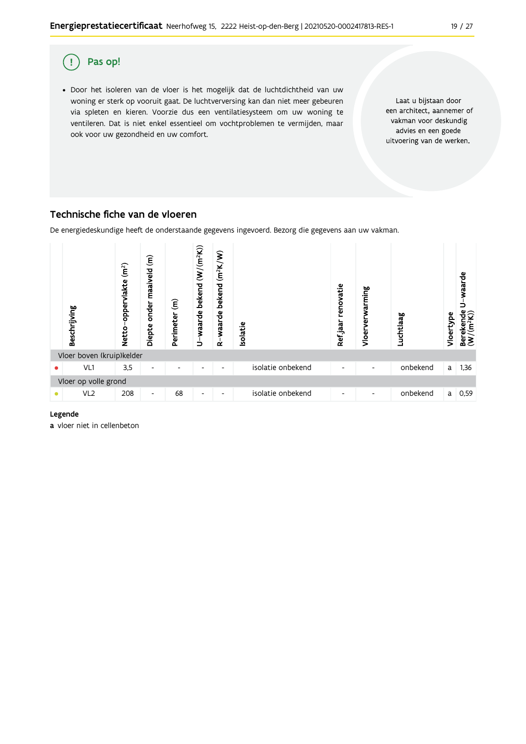

#### Technische fiche van de vloeren

De energiedeskundige heeft de onderstaande gegevens ingevoerd. Bezorg die gegevens aan uw vakman.



#### Legende

a vloer niet in cellenbeton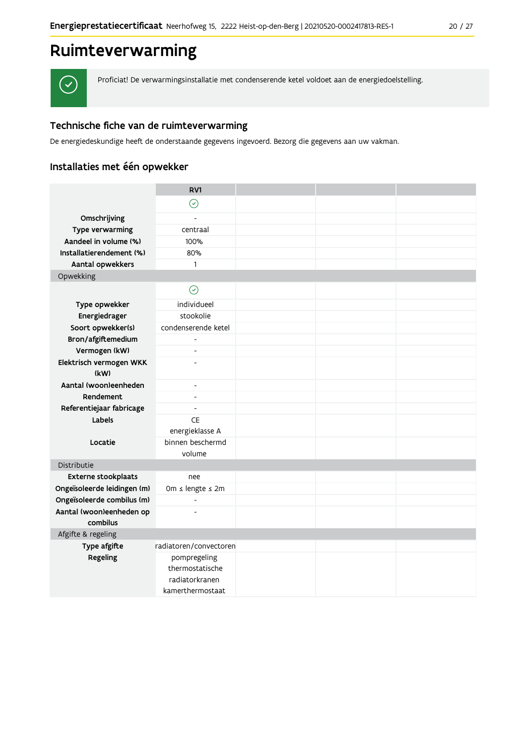## Ruimteverwarming



Proficiat! De verwarmingsinstallatie met condenserende ketel voldoet aan de energiedoelstelling.

#### Technische fiche van de ruimteverwarming

De energiedeskundige heeft de onderstaande gegevens ingevoerd. Bezorg die gegevens aan uw vakman.

### Installaties met één opwekker

|                             | RV1                                                                   |  |  |
|-----------------------------|-----------------------------------------------------------------------|--|--|
|                             | $\odot$                                                               |  |  |
| Omschrijving                |                                                                       |  |  |
| Type verwarming             | centraal                                                              |  |  |
| Aandeel in volume (%)       | 100%                                                                  |  |  |
| Installatierendement (%)    | 80%                                                                   |  |  |
| Aantal opwekkers            | $\mathbf{1}$                                                          |  |  |
| Opwekking                   |                                                                       |  |  |
|                             | $\odot$                                                               |  |  |
| Type opwekker               | individueel                                                           |  |  |
| Energiedrager               | stookolie                                                             |  |  |
| Soort opwekker(s)           | condenserende ketel                                                   |  |  |
| Bron/afgiftemedium          | $\overline{\phantom{a}}$                                              |  |  |
| Vermogen (kW)               | $\overline{a}$                                                        |  |  |
| Elektrisch vermogen WKK     | ÷,                                                                    |  |  |
| (kW)                        |                                                                       |  |  |
| Aantal (woon)eenheden       | $\overline{\phantom{a}}$                                              |  |  |
| Rendement                   | $\blacksquare$                                                        |  |  |
| Referentiejaar fabricage    | $\overline{\phantom{a}}$                                              |  |  |
| Labels                      | CE                                                                    |  |  |
|                             | energieklasse A                                                       |  |  |
| Locatie                     | binnen beschermd<br>volume                                            |  |  |
| Distributie                 |                                                                       |  |  |
| Externe stookplaats         | nee                                                                   |  |  |
| Ongeïsoleerde leidingen (m) | 0m ≤ lengte ≤ 2m                                                      |  |  |
| Ongeïsoleerde combilus (m)  | $\blacksquare$                                                        |  |  |
| Aantal (woon)eenheden op    |                                                                       |  |  |
| combilus                    |                                                                       |  |  |
| Afgifte & regeling          |                                                                       |  |  |
| Type afgifte                | radiatoren/convectoren                                                |  |  |
| Regeling                    | pompregeling<br>thermostatische<br>radiatorkranen<br>kamerthermostaat |  |  |
|                             |                                                                       |  |  |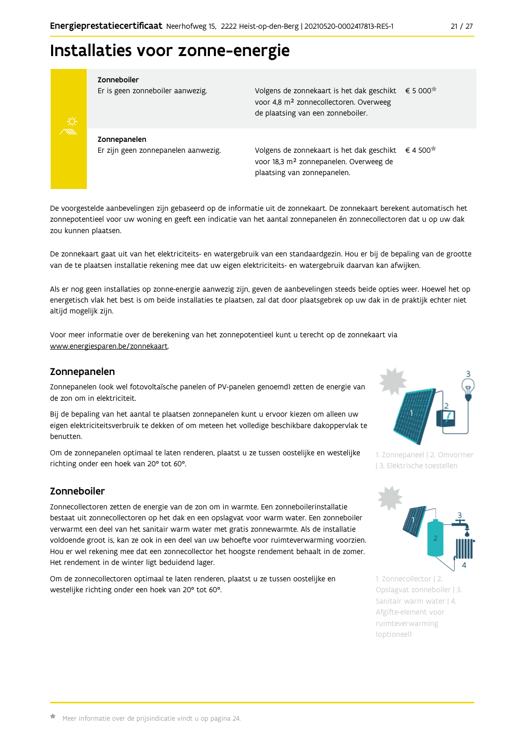## Installaties voor zonne-energie



#### Zonneboiler

Er is geen zonneboiler aanwezig.

Volgens de zonnekaart is het dak geschikt € 5 000 voor 4,8 m<sup>2</sup> zonnecollectoren. Overweeg de plaatsing van een zonneboiler.

Zonnepanelen Er zijn geen zonnepanelen aanwezig.

Volgens de zonnekaart is het dak geschikt  $\epsilon$  4 500<sup> $\star$ </sup> voor 18,3 m<sup>2</sup> zonnepanelen. Overweeg de plaatsing van zonnepanelen.

De voorgestelde aanbevelingen zijn gebaseerd op de informatie uit de zonnekaart. De zonnekaart berekent automatisch het zonnepotentieel voor uw woning en geeft een indicatie van het aantal zonnepanelen én zonnecollectoren dat u op uw dak zou kunnen plaatsen.

De zonnekaart gaat uit van het elektriciteits- en watergebruik van een standaardgezin. Hou er bij de bepaling van de grootte van de te plaatsen installatie rekening mee dat uw eigen elektriciteits- en watergebruik daarvan kan afwijken.

Als er nog geen installaties op zonne-energie aanwezig zijn, geven de aanbevelingen steeds beide opties weer. Hoewel het op energetisch vlak het best is om beide installaties te plaatsen, zal dat door plaatsgebrek op uw dak in de praktijk echter niet altijd mogelijk zijn.

Voor meer informatie over de berekening van het zonnepotentieel kunt u terecht op de zonnekaart via www.energiesparen.be/zonnekaart.

#### Zonnepanelen

Zonnepanelen (ook wel fotovoltaïsche panelen of PV-panelen genoemd) zetten de energie van de zon om in elektriciteit.

Bij de bepaling van het aantal te plaatsen zonnepanelen kunt u ervoor kiezen om alleen uw eigen elektriciteitsverbruik te dekken of om meteen het volledige beschikbare dakoppervlak te henutten

Om de zonnepanelen optimaal te laten renderen, plaatst u ze tussen oostelijke en westelijke richting onder een hoek van 20° tot 60°.

#### Zonneboiler

Zonnecollectoren zetten de energie van de zon om in warmte. Een zonneboilerinstallatie bestaat uit zonnecollectoren op het dak en een opslagvat voor warm water. Een zonneboiler verwarmt een deel van het sanitair warm water met gratis zonnewarmte. Als de installatie voldoende groot is, kan ze ook in een deel van uw behoefte voor ruimteverwarming voorzien. Hou er wel rekening mee dat een zonnecollector het hoogste rendement behaalt in de zomer. Het rendement in de winter ligt beduidend lager.

Om de zonnecollectoren optimaal te laten renderen, plaatst u ze tussen oostelijke en westelijke richting onder een hoek van 20° tot 60°.



1. Zonnepaneel | 2. Omvormer | 3. Elektrische toestellen



1. Zonnecollector | 2. Opslagvat zonneboiler | 3. Sanitair warm water | 4. Afgifte-element voor ruimteverwarming (optioneel)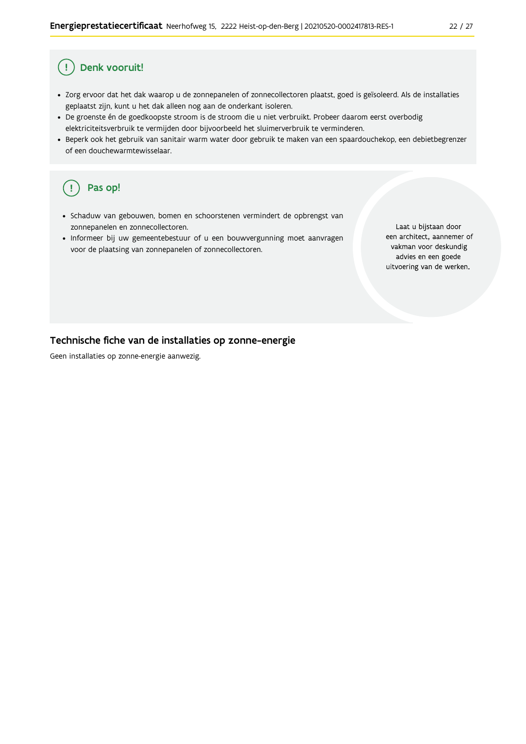#### Ţ Denk vooruit!

- · Zorg ervoor dat het dak waarop u de zonnepanelen of zonnecollectoren plaatst, goed is geïsoleerd. Als de installaties geplaatst zijn, kunt u het dak alleen nog aan de onderkant isoleren.
- · De groenste én de goedkoopste stroom is de stroom die u niet verbruikt. Probeer daarom eerst overbodig elektriciteitsverbruik te vermijden door bijvoorbeeld het sluimerverbruik te verminderen.
- · Beperk ook het gebruik van sanitair warm water door gebruik te maken van een spaardouchekop, een debietbegrenzer of een douchewarmtewisselaar.

#### Pas op! ( !

- · Schaduw van gebouwen, bomen en schoorstenen vermindert de opbrengst van zonnepanelen en zonnecollectoren.
- Informeer bij uw gemeentebestuur of u een bouwvergunning moet aanvragen voor de plaatsing van zonnepanelen of zonnecollectoren.

Laat u bijstaan door een architect, aannemer of vakman voor deskundig advies en een goede uitvoering van de werken.

#### Technische fiche van de installaties op zonne-energie

Geen installaties op zonne-energie aanwezig.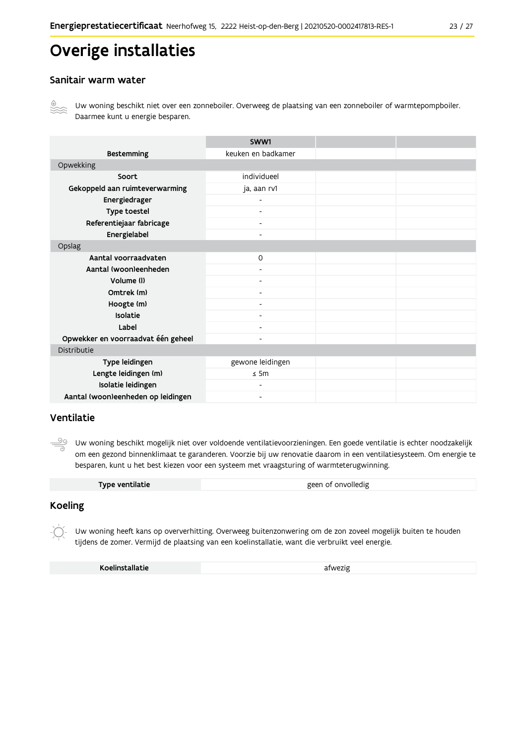## Overige installaties

#### Sanitair warm water



Uw woning beschikt niet over een zonneboiler. Overweeg de plaatsing van een zonneboiler of warmtepompboiler. Daarmee kunt u energie besparen.

|                                    | SWW1                     |  |
|------------------------------------|--------------------------|--|
| <b>Bestemming</b>                  | keuken en badkamer       |  |
| Opwekking                          |                          |  |
| Soort                              | individueel              |  |
| Gekoppeld aan ruimteverwarming     | ja, aan rv1              |  |
| Energiedrager                      | $\overline{\phantom{0}}$ |  |
| Type toestel                       | $\overline{\phantom{a}}$ |  |
| Referentiejaar fabricage           | $\overline{\phantom{a}}$ |  |
| Energielabel                       | $\blacksquare$           |  |
| Opslag                             |                          |  |
| Aantal voorraadvaten               | $\mathsf{O}$             |  |
| Aantal (woon)eenheden              |                          |  |
| Volume (I)                         | $\blacksquare$           |  |
| Omtrek (m)                         | $\overline{\phantom{0}}$ |  |
| Hoogte (m)                         |                          |  |
| Isolatie                           | $\overline{\phantom{a}}$ |  |
| Label                              | $\overline{\phantom{a}}$ |  |
| Opwekker en voorraadvat één geheel | $\overline{\phantom{0}}$ |  |
| Distributie                        |                          |  |
| Type leidingen                     | gewone leidingen         |  |
| Lengte leidingen (m)               | $\leq$ 5m                |  |
| Isolatie leidingen                 | ۰                        |  |
| Aantal (woon)eenheden op leidingen | $\overline{\phantom{0}}$ |  |

#### Ventilatie

ூ Uw woning beschikt mogelijk niet over voldoende ventilatievoorzieningen. Een goede ventilatie is echter noodzakelijk om een gezond binnenklimaat te garanderen. Voorzie bij uw renovatie daarom in een ventilatiesysteem. Om energie te besparen, kunt u het best kiezen voor een systeem met vraagsturing of warmteterugwinning.

|  | Type ventilatie | geen of onvolledig |
|--|-----------------|--------------------|
|--|-----------------|--------------------|

#### **Koeling**

Uw woning heeft kans op oververhitting. Overweeg buitenzonwering om de zon zoveel mogelijk buiten te houden tijdens de zomer. Vermijd de plaatsing van een koelinstallatie, want die verbruikt veel energie.

Koelinstallatie

afwezig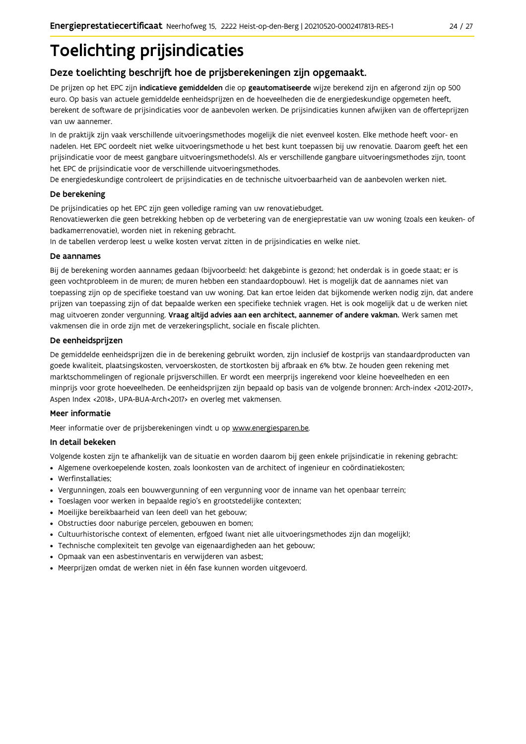## **Toelichting prijsindicaties**

### Deze toelichting beschrijft hoe de prijsberekeningen zijn opgemaakt.

De prijzen op het EPC zijn indicatieve gemiddelden die op geautomatiseerde wijze berekend zijn en afgerond zijn op 500 euro. Op basis van actuele gemiddelde eenheidsprijzen en de hoeveelheden die de energiedeskundige opgemeten heeft, berekent de software de prijsindicaties voor de aanbevolen werken. De prijsindicaties kunnen afwijken van de offerteprijzen van uw aannemer.

In de praktijk zijn vaak verschillende uitvoeringsmethodes mogelijk die niet evenveel kosten. Elke methode heeft voor- en nadelen. Het EPC oordeelt niet welke uitvoeringsmethode u het best kunt toepassen bij uw renovatie. Daarom geeft het een prijsindicatie voor de meest gangbare uitvoeringsmethode(s). Als er verschillende gangbare uitvoeringsmethodes zijn, toont het EPC de prijsindicatie voor de verschillende uitvoeringsmethodes.

De energiedeskundige controleert de prijsindicaties en de technische uitvoerbaarheid van de aanbevolen werken niet.

#### De berekening

De prijsindicaties op het EPC zijn geen volledige raming van uw renovatiebudget.

Renovatiewerken die geen betrekking hebben op de verbetering van de energieprestatie van uw woning (zoals een keuken- of badkamerrenovatie), worden niet in rekening gebracht.

In de tabellen verderop leest u welke kosten vervat zitten in de prijsindicaties en welke niet.

#### De aannames

Bij de berekening worden aannames gedaan (bijvoorbeeld: het dakgebinte is gezond; het onderdak is in goede staat; er is geen vochtprobleem in de muren; de muren hebben een standaardopbouw). Het is mogelijk dat de aannames niet van toepassing zijn op de specifieke toestand van uw woning. Dat kan ertoe leiden dat bijkomende werken nodig zijn, dat andere prijzen van toepassing zijn of dat bepaalde werken een specifieke techniek vragen. Het is ook mogelijk dat u de werken niet mag uitvoeren zonder vergunning. Vraag altijd advies aan een architect, aannemer of andere vakman. Werk samen met vakmensen die in orde zijn met de verzekeringsplicht, sociale en fiscale plichten.

#### De eenheidsprijzen

De gemiddelde eenheidspriizen die in de berekening gebruikt worden, zijn inclusief de kostpriis van standaardproducten van goede kwaliteit, plaatsingskosten, vervoerskosten, de stortkosten bij afbraak en 6% btw. Ze houden geen rekening met marktschommelingen of regionale prijsverschillen. Er wordt een meerprijs ingerekend voor kleine hoeveelheden en een minprijs voor grote hoeveelheden. De eenheidsprijzen zijn bepaald op basis van de volgende bronnen: Arch-index <2012-2017>, Aspen Index <2018>, UPA-BUA-Arch<2017> en overleg met vakmensen.

#### Meer informatie

Meer informatie over de prijsberekeningen vindt u op www.energiesparen.be.

#### In detail bekeken

Volgende kosten zijn te afhankelijk van de situatie en worden daarom bij geen enkele prijsindicatie in rekening gebracht:

- Algemene overkoepelende kosten, zoals loonkosten van de architect of ingenieur en coördinatiekosten;
- Werfinstallaties:
- · Vergunningen, zoals een bouwvergunning of een vergunning voor de inname van het openbaar terrein;
- Toeslagen voor werken in bepaalde regio's en grootstedelijke contexten:
- · Moeilijke bereikbaarheid van (een deel) van het gebouw;
- · Obstructies door naburige percelen, gebouwen en bomen;
- · Cultuurhistorische context of elementen, erfgoed (want niet alle uitvoeringsmethodes zijn dan mogelijk);
- · Technische complexiteit ten gevolge van eigenaardigheden aan het gebouw;
- · Opmaak van een asbestinventaris en verwijderen van asbest;
- · Meerprijzen omdat de werken niet in één fase kunnen worden uitgevoerd.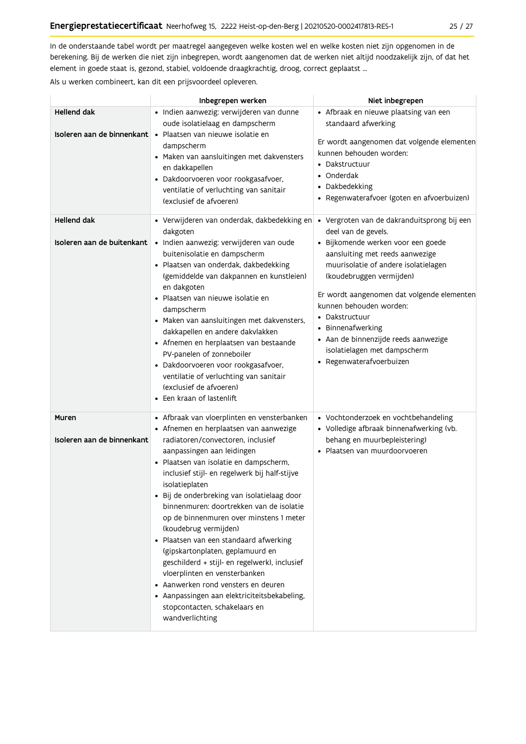In de onderstaande tabel wordt per maatregel aangegeven welke kosten wel en welke kosten niet zijn opgenomen in de berekening. Bij de werken die niet zijn inbegrepen, wordt aangenomen dat de werken niet altijd noodzakelijk zijn, of dat het element in goede staat is, gezond, stabiel, voldoende draagkrachtig, droog, correct geplaatst ...

Als u werken combineert, kan dit een prijsvoordeel opleveren.

|                                                  | Inbegrepen werken                                                                                                                                                                                                                                                                                                                                                                                                                                                                                                                                                                                                                                                                                                                               | Niet inbegrepen                                                                                                                                                                                                                                                                                                                                                                                                                     |
|--------------------------------------------------|-------------------------------------------------------------------------------------------------------------------------------------------------------------------------------------------------------------------------------------------------------------------------------------------------------------------------------------------------------------------------------------------------------------------------------------------------------------------------------------------------------------------------------------------------------------------------------------------------------------------------------------------------------------------------------------------------------------------------------------------------|-------------------------------------------------------------------------------------------------------------------------------------------------------------------------------------------------------------------------------------------------------------------------------------------------------------------------------------------------------------------------------------------------------------------------------------|
| Hellend dak                                      | · Indien aanwezig: verwijderen van dunne<br>oude isolatielaag en dampscherm<br>Isoleren aan de binnenkant · Plaatsen van nieuwe isolatie en<br>dampscherm<br>• Maken van aansluitingen met dakvensters<br>en dakkapellen<br>· Dakdoorvoeren voor rookgasafvoer,<br>ventilatie of verluchting van sanitair<br>(exclusief de afvoeren)                                                                                                                                                                                                                                                                                                                                                                                                            | • Afbraak en nieuwe plaatsing van een<br>standaard afwerking<br>Er wordt aangenomen dat volgende elementen<br>kunnen behouden worden:<br>• Dakstructuur<br>• Onderdak<br>• Dakbedekking<br>· Regenwaterafvoer (goten en afvoerbuizen)                                                                                                                                                                                               |
| <b>Hellend dak</b><br>Isoleren aan de buitenkant | • Verwijderen van onderdak, dakbedekking en<br>dakgoten<br>· Indien aanwezig: verwijderen van oude<br>buitenisolatie en dampscherm<br>· Plaatsen van onderdak, dakbedekking<br>(gemiddelde van dakpannen en kunstleien)<br>en dakgoten<br>· Plaatsen van nieuwe isolatie en<br>dampscherm<br>· Maken van aansluitingen met dakvensters,<br>dakkapellen en andere dakvlakken<br>• Afnemen en herplaatsen van bestaande<br>PV-panelen of zonneboiler<br>· Dakdoorvoeren voor rookgasafvoer,<br>ventilatie of verluchting van sanitair<br>(exclusief de afvoeren)<br>• Een kraan of lastenlift                                                                                                                                                     | · Vergroten van de dakranduitsprong bij een<br>deel van de gevels.<br>· Bijkomende werken voor een goede<br>aansluiting met reeds aanwezige<br>muurisolatie of andere isolatielagen<br>(koudebruggen vermijden)<br>Er wordt aangenomen dat volgende elementen<br>kunnen behouden worden:<br>• Dakstructuur<br>• Binnenafwerking<br>· Aan de binnenzijde reeds aanwezige<br>isolatielagen met dampscherm<br>· Regenwaterafvoerbuizen |
| Muren<br>Isoleren aan de binnenkant              | • Afbraak van vloerplinten en vensterbanken<br>• Afnemen en herplaatsen van aanwezige<br>radiatoren/convectoren, inclusief<br>aanpassingen aan leidingen<br>• Plaatsen van isolatie en dampscherm,<br>inclusief stijl- en regelwerk bij half-stijve<br>isolatieplaten<br>• Bij de onderbreking van isolatielaag door<br>binnenmuren: doortrekken van de isolatie<br>op de binnenmuren over minstens 1 meter<br>(koudebrug vermijden)<br>· Plaatsen van een standaard afwerking<br>(gipskartonplaten, geplamuurd en<br>geschilderd + stijl- en regelwerk), inclusief<br>vloerplinten en vensterbanken<br>• Aanwerken rond vensters en deuren<br>• Aanpassingen aan elektriciteitsbekabeling,<br>stopcontacten, schakelaars en<br>wandverlichting | • Vochtonderzoek en vochtbehandeling<br>· Volledige afbraak binnenafwerking (vb.<br>behang en muurbepleistering)<br>· Plaatsen van muurdoorvoeren                                                                                                                                                                                                                                                                                   |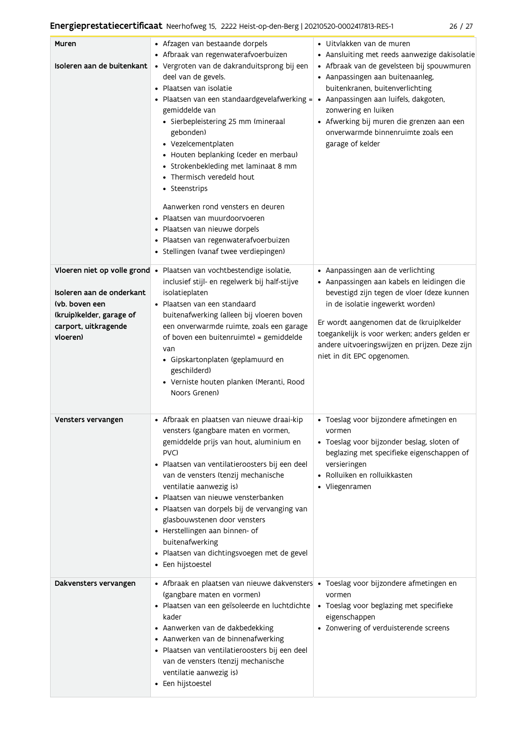|--|--|--|--|

| Muren<br>Isoleren aan de buitenkant                                                                                                          | • Afzagen van bestaande dorpels<br>• Afbraak van regenwaterafvoerbuizen<br>· Vergroten van de dakranduitsprong bij een<br>deel van de gevels.<br>• Plaatsen van isolatie<br>• Plaatsen van een standaardgevelafwerking = • Aanpassingen aan luifels, dakgoten,<br>gemiddelde van<br>· Sierbepleistering 25 mm (mineraal<br>gebonden)<br>• Vezelcementplaten<br>• Houten beplanking (ceder en merbau)<br>• Strokenbekleding met laminaat 8 mm<br>• Thermisch veredeld hout<br>• Steenstrips<br>Aanwerken rond vensters en deuren<br>· Plaatsen van muurdoorvoeren<br>· Plaatsen van nieuwe dorpels<br>· Plaatsen van regenwaterafvoerbuizen<br>· Stellingen (vanaf twee verdiepingen) | · Uitvlakken van de muren<br>• Aansluiting met reeds aanwezige dakisolatie<br>· Afbraak van de gevelsteen bij spouwmuren<br>• Aanpassingen aan buitenaanleg,<br>buitenkranen, buitenverlichting<br>zonwering en luiken<br>• Afwerking bij muren die grenzen aan een<br>onverwarmde binnenruimte zoals een<br>garage of kelder                  |
|----------------------------------------------------------------------------------------------------------------------------------------------|--------------------------------------------------------------------------------------------------------------------------------------------------------------------------------------------------------------------------------------------------------------------------------------------------------------------------------------------------------------------------------------------------------------------------------------------------------------------------------------------------------------------------------------------------------------------------------------------------------------------------------------------------------------------------------------|------------------------------------------------------------------------------------------------------------------------------------------------------------------------------------------------------------------------------------------------------------------------------------------------------------------------------------------------|
| Vloeren niet op volle grond •<br>Isoleren aan de onderkant<br>(vb. boven een<br>(kruip)kelder, garage of<br>carport, uitkragende<br>vloeren) | Plaatsen van vochtbestendige isolatie,<br>inclusief stijl- en regelwerk bij half-stijve<br>isolatieplaten<br>• Plaatsen van een standaard<br>buitenafwerking (alleen bij vloeren boven<br>een onverwarmde ruimte, zoals een garage<br>of boven een buitenruimte) = gemiddelde<br>van<br>· Gipskartonplaten (geplamuurd en<br>geschilderd)<br>• Verniste houten planken (Meranti, Rood<br>Noors Grenen)                                                                                                                                                                                                                                                                               | • Aanpassingen aan de verlichting<br>• Aanpassingen aan kabels en leidingen die<br>bevestigd zijn tegen de vloer (deze kunnen<br>in de isolatie ingewerkt worden)<br>Er wordt aangenomen dat de (kruip)kelder<br>toegankelijk is voor werken; anders gelden er<br>andere uitvoeringswijzen en prijzen. Deze zijn<br>niet in dit EPC opgenomen. |
| Vensters vervangen                                                                                                                           | • Afbraak en plaatsen van nieuwe draai-kip<br>vensters (gangbare maten en vormen,<br>gemiddelde prijs van hout, aluminium en<br>PVC)<br>· Plaatsen van ventilatieroosters bij een deel<br>van de vensters (tenzij mechanische<br>ventilatie aanwezig is)<br>Plaatsen van nieuwe vensterbanken<br>· Plaatsen van dorpels bij de vervanging van<br>glasbouwstenen door vensters<br>• Herstellingen aan binnen- of<br>buitenafwerking<br>· Plaatsen van dichtingsvoegen met de gevel<br>Een hijstoestel                                                                                                                                                                                 | · Toeslag voor bijzondere afmetingen en<br>vormen<br>· Toeslag voor bijzonder beslag, sloten of<br>beglazing met specifieke eigenschappen of<br>versieringen<br>· Rolluiken en rolluikkasten<br>• Vliegenramen                                                                                                                                 |
| Dakvensters vervangen                                                                                                                        | • Afbraak en plaatsen van nieuwe dakvensters • Toeslag voor bijzondere afmetingen en<br>(gangbare maten en vormen)<br>· Plaatsen van een geïsoleerde en luchtdichte<br>kader<br>• Aanwerken van de dakbedekking<br>• Aanwerken van de binnenafwerking<br>· Plaatsen van ventilatieroosters bij een deel<br>van de vensters (tenzij mechanische<br>ventilatie aanwezig is)<br>• Een hijstoestel                                                                                                                                                                                                                                                                                       | vormen<br>• Toeslag voor beglazing met specifieke<br>eigenschappen<br>• Zonwering of verduisterende screens                                                                                                                                                                                                                                    |